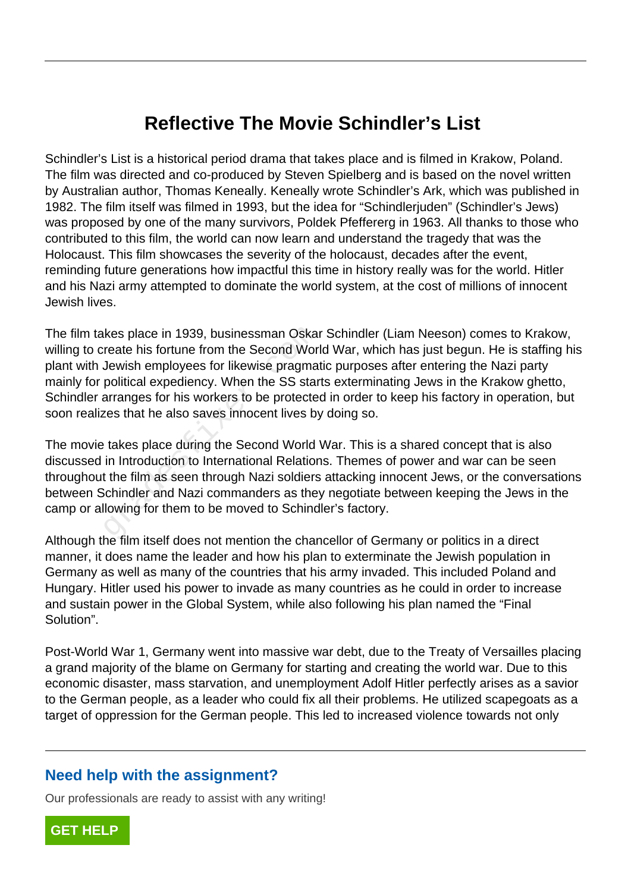## **Reflective The Movie Schindler's List**

Schindler's List is a historical period drama that takes place and is filmed in Krakow, Poland. The film was directed and co-produced by Steven Spielberg and is based on the novel written by Australian author, Thomas Keneally. Keneally wrote Schindler's Ark, which was published in 1982. The film itself was filmed in 1993, but the idea for "Schindlerjuden" (Schindler's Jews) was proposed by one of the many survivors, Poldek Pfeffererg in 1963. All thanks to those who contributed to this film, the world can now learn and understand the tragedy that was the Holocaust. This film showcases the severity of the holocaust, decades after the event, reminding future generations how impactful this time in history really was for the world. Hitler and his Nazi army attempted to dominate the world system, at the cost of millions of innocent Jewish lives.

The film takes place in 1939, businessman Oskar Schindler (Liam Neeson) comes to Krakow, willing to create his fortune from the Second World War, which has just begun. He is staffing his plant with Jewish employees for likewise pragmatic purposes after entering the Nazi party mainly for political expediency. When the SS starts exterminating Jews in the Krakow ghetto, Schindler arranges for his workers to be protected in order to keep his factory in operation, but soon realizes that he also saves innocent lives by doing so. kes place in 1939, businessman Oska<br>reate his fortune from the Second Wor<br>Jewish employees for likewise pragma<br>political expediency. When the SS star<br>arranges for his workers to be protecte<br>res that he also saves innocent

The movie takes place during the Second World War. This is a shared concept that is also discussed in Introduction to International Relations. Themes of power and war can be seen throughout the film as seen through Nazi soldiers attacking innocent Jews, or the conversations between Schindler and Nazi commanders as they negotiate between keeping the Jews in the camp or allowing for them to be moved to Schindler's factory.

Although the film itself does not mention the chancellor of Germany or politics in a direct manner, it does name the leader and how his plan to exterminate the Jewish population in Germany as well as many of the countries that his army invaded. This included Poland and Hungary. Hitler used his power to invade as many countries as he could in order to increase and sustain power in the Global System, while also following his plan named the "Final Solution".

Post-World War 1, Germany went into massive war debt, due to the Treaty of Versailles placing a grand majority of the blame on Germany for starting and creating the world war. Due to this economic disaster, mass starvation, and unemployment Adolf Hitler perfectly arises as a savior to the German people, as a leader who could fix all their problems. He utilized scapegoats as a target of oppression for the German people. This led to increased violence towards not only

## **Need help with the assignment?**

Our professionals are ready to assist with any writing!

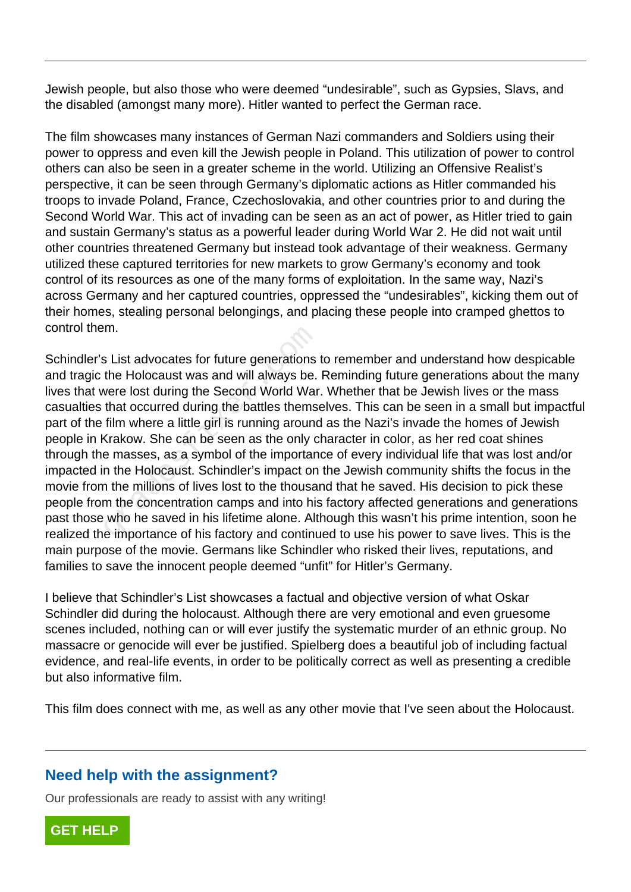Jewish people, but also those who were deemed "undesirable", such as Gypsies, Slavs, and the disabled (amongst many more). Hitler wanted to perfect the German race.

The film showcases many instances of German Nazi commanders and Soldiers using their power to oppress and even kill the Jewish people in Poland. This utilization of power to control others can also be seen in a greater scheme in the world. Utilizing an Offensive Realist's perspective, it can be seen through Germany's diplomatic actions as Hitler commanded his troops to invade Poland, France, Czechoslovakia, and other countries prior to and during the Second World War. This act of invading can be seen as an act of power, as Hitler tried to gain and sustain Germany's status as a powerful leader during World War 2. He did not wait until other countries threatened Germany but instead took advantage of their weakness. Germany utilized these captured territories for new markets to grow Germany's economy and took control of its resources as one of the many forms of exploitation. In the same way, Nazi's across Germany and her captured countries, oppressed the "undesirables", kicking them out of their homes, stealing personal belongings, and placing these people into cramped ghettos to control them.

Schindler's List advocates for future generations to remember and understand how despicable and tragic the Holocaust was and will always be. Reminding future generations about the many lives that were lost during the Second World War. Whether that be Jewish lives or the mass casualties that occurred during the battles themselves. This can be seen in a small but impactful part of the film where a little girl is running around as the Nazi's invade the homes of Jewish people in Krakow. She can be seen as the only character in color, as her red coat shines through the masses, as a symbol of the importance of every individual life that was lost and/or impacted in the Holocaust. Schindler's impact on the Jewish community shifts the focus in the movie from the millions of lives lost to the thousand that he saved. His decision to pick these people from the concentration camps and into his factory affected generations and generations past those who he saved in his lifetime alone. Although this wasn't his prime intention, soon he realized the importance of his factory and continued to use his power to save lives. This is the main purpose of the movie. Germans like Schindler who risked their lives, reputations, and families to save the innocent people deemed "unfit" for Hitler's Germany. In.<br>
In:<br>
S List advocates for future generations<br>
the Holocaust was and will always be.<br>
vere lost during the Second World War<br>
that occurred during the battles thems<br>
film where a little girl is running arounc<br>
Krakow. S

I believe that Schindler's List showcases a factual and objective version of what Oskar Schindler did during the holocaust. Although there are very emotional and even gruesome scenes included, nothing can or will ever justify the systematic murder of an ethnic group. No massacre or genocide will ever be justified. Spielberg does a beautiful job of including factual evidence, and real-life events, in order to be politically correct as well as presenting a credible but also informative film.

This film does connect with me, as well as any other movie that I've seen about the Holocaust.

## **Need help with the assignment?**

Our professionals are ready to assist with any writing!